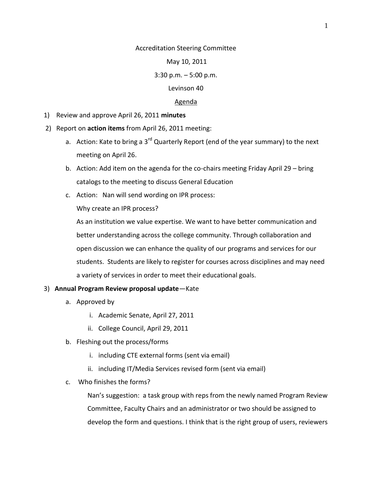## Accreditation Steering Committee

May 10, 2011

3:30 p.m. – 5:00 p.m.

## Levinson 40

## Agenda

- 1) Review and approve April 26, 2011 **minutes**
- 2) Report on **action items** from April 26, 2011 meeting:
	- a. Action: Kate to bring a 3<sup>rd</sup> Quarterly Report (end of the year summary) to the next meeting on April 26.
	- b. Action: Add item on the agenda for the co-chairs meeting Friday April 29 bring catalogs to the meeting to discuss General Education
	- c. Action: Nan will send wording on IPR process:
		- Why create an IPR process?

As an institution we value expertise. We want to have better communication and better understanding across the college community. Through collaboration and open discussion we can enhance the quality of our programs and services for our students. Students are likely to register for courses across disciplines and may need a variety of services in order to meet their educational goals.

## 3) **Annual Program Review proposal update**—Kate

- a. Approved by
	- i. Academic Senate, April 27, 2011
	- ii. College Council, April 29, 2011
- b. Fleshing out the process/forms
	- i. including CTE external forms (sent via email)
	- ii. including IT/Media Services revised form (sent via email)
- c. Who finishes the forms?

Nan's suggestion: a task group with reps from the newly named Program Review Committee, Faculty Chairs and an administrator or two should be assigned to develop the form and questions. I think that is the right group of users, reviewers